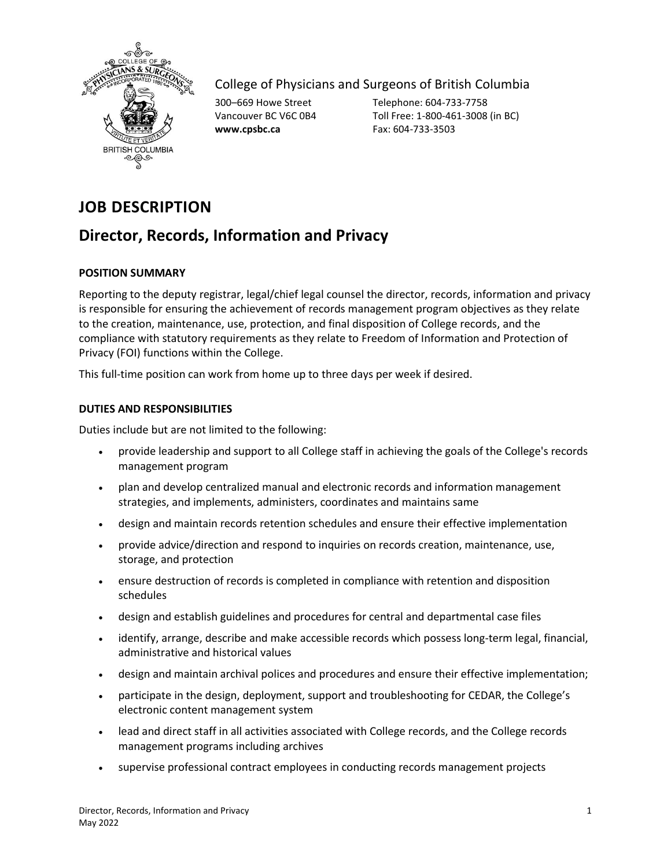

## College of Physicians and Surgeons of British Columbia

**www.cpsbc.ca** Fax: 604-733-3503

300–669 Howe Street Telephone: 604-733-7758 Vancouver BC V6C 0B4 Toll Free: 1-800-461-3008 (in BC)

# **JOB DESCRIPTION**

## **Director, Records, Information and Privacy**

### **POSITION SUMMARY**

Reporting to the deputy registrar, legal/chief legal counsel the director, records, information and privacy is responsible for ensuring the achievement of records management program objectives as they relate to the creation, maintenance, use, protection, and final disposition of College records, and the compliance with statutory requirements as they relate to Freedom of Information and Protection of Privacy (FOI) functions within the College.

This full-time position can work from home up to three days per week if desired.

#### **DUTIES AND RESPONSIBILITIES**

Duties include but are not limited to the following:

- provide leadership and support to all College staff in achieving the goals of the College's records management program
- plan and develop centralized manual and electronic records and information management strategies, and implements, administers, coordinates and maintains same
- design and maintain records retention schedules and ensure their effective implementation
- provide advice/direction and respond to inquiries on records creation, maintenance, use, storage, and protection
- ensure destruction of records is completed in compliance with retention and disposition schedules
- design and establish guidelines and procedures for central and departmental case files
- identify, arrange, describe and make accessible records which possess long-term legal, financial, administrative and historical values
- design and maintain archival polices and procedures and ensure their effective implementation;
- participate in the design, deployment, support and troubleshooting for CEDAR, the College's electronic content management system
- lead and direct staff in all activities associated with College records, and the College records management programs including archives
- supervise professional contract employees in conducting records management projects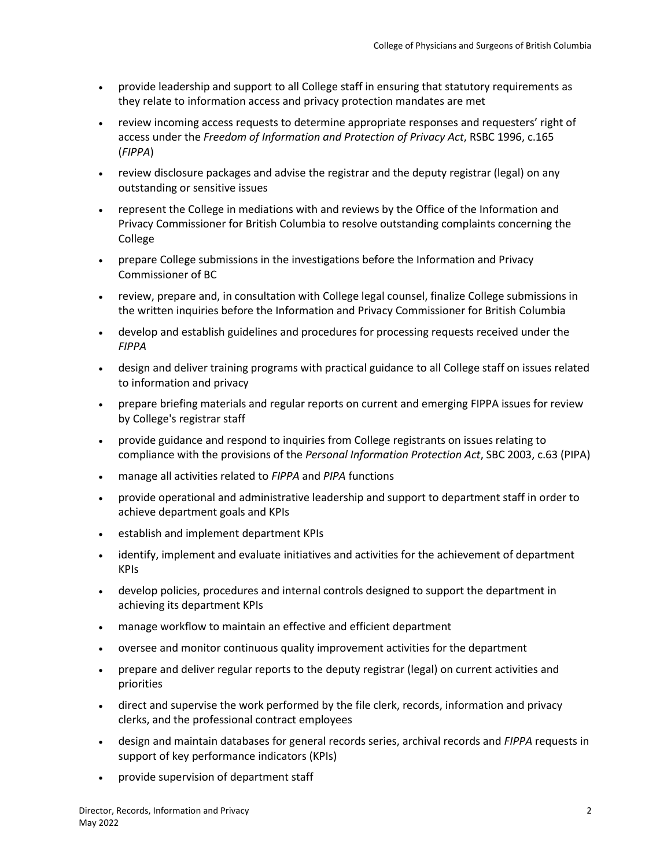- provide leadership and support to all College staff in ensuring that statutory requirements as they relate to information access and privacy protection mandates are met
- review incoming access requests to determine appropriate responses and requesters' right of access under the *Freedom of Information and Protection of Privacy Act*, RSBC 1996, c.165 (*FIPPA*)
- review disclosure packages and advise the registrar and the deputy registrar (legal) on any outstanding or sensitive issues
- represent the College in mediations with and reviews by the Office of the Information and Privacy Commissioner for British Columbia to resolve outstanding complaints concerning the College
- prepare College submissions in the investigations before the Information and Privacy Commissioner of BC
- review, prepare and, in consultation with College legal counsel, finalize College submissions in the written inquiries before the Information and Privacy Commissioner for British Columbia
- develop and establish guidelines and procedures for processing requests received under the *FIPPA*
- design and deliver training programs with practical guidance to all College staff on issues related to information and privacy
- prepare briefing materials and regular reports on current and emerging FIPPA issues for review by College's registrar staff
- provide guidance and respond to inquiries from College registrants on issues relating to compliance with the provisions of the *Personal Information Protection Act*, SBC 2003, c.63 (PIPA)
- manage all activities related to *FIPPA* and *PIPA* functions
- provide operational and administrative leadership and support to department staff in order to achieve department goals and KPIs
- establish and implement department KPIs
- identify, implement and evaluate initiatives and activities for the achievement of department KPIs
- develop policies, procedures and internal controls designed to support the department in achieving its department KPIs
- manage workflow to maintain an effective and efficient department
- oversee and monitor continuous quality improvement activities for the department
- prepare and deliver regular reports to the deputy registrar (legal) on current activities and priorities
- direct and supervise the work performed by the file clerk, records, information and privacy clerks, and the professional contract employees
- design and maintain databases for general records series, archival records and *FIPPA* requests in support of key performance indicators (KPIs)
- provide supervision of department staff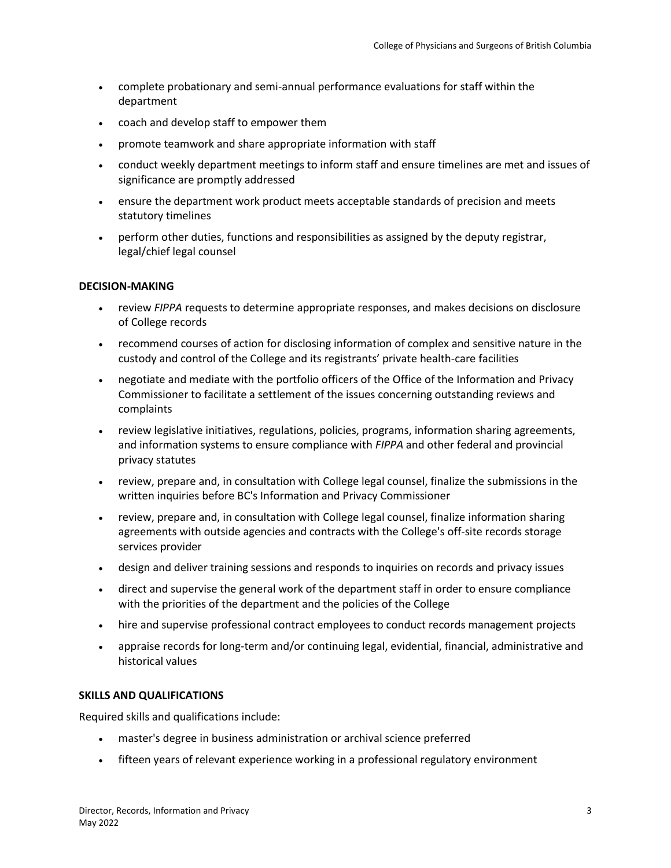- complete probationary and semi-annual performance evaluations for staff within the department
- coach and develop staff to empower them
- promote teamwork and share appropriate information with staff
- conduct weekly department meetings to inform staff and ensure timelines are met and issues of significance are promptly addressed
- ensure the department work product meets acceptable standards of precision and meets statutory timelines
- perform other duties, functions and responsibilities as assigned by the deputy registrar, legal/chief legal counsel

#### **DECISION-MAKING**

- review *FIPPA* requests to determine appropriate responses, and makes decisions on disclosure of College records
- recommend courses of action for disclosing information of complex and sensitive nature in the custody and control of the College and its registrants' private health-care facilities
- negotiate and mediate with the portfolio officers of the Office of the Information and Privacy Commissioner to facilitate a settlement of the issues concerning outstanding reviews and complaints
- review legislative initiatives, regulations, policies, programs, information sharing agreements, and information systems to ensure compliance with *FIPPA* and other federal and provincial privacy statutes
- review, prepare and, in consultation with College legal counsel, finalize the submissions in the written inquiries before BC's Information and Privacy Commissioner
- review, prepare and, in consultation with College legal counsel, finalize information sharing agreements with outside agencies and contracts with the College's off-site records storage services provider
- design and deliver training sessions and responds to inquiries on records and privacy issues
- direct and supervise the general work of the department staff in order to ensure compliance with the priorities of the department and the policies of the College
- hire and supervise professional contract employees to conduct records management projects
- appraise records for long-term and/or continuing legal, evidential, financial, administrative and historical values

#### **SKILLS AND QUALIFICATIONS**

Required skills and qualifications include:

- master's degree in business administration or archival science preferred
- fifteen years of relevant experience working in a professional regulatory environment